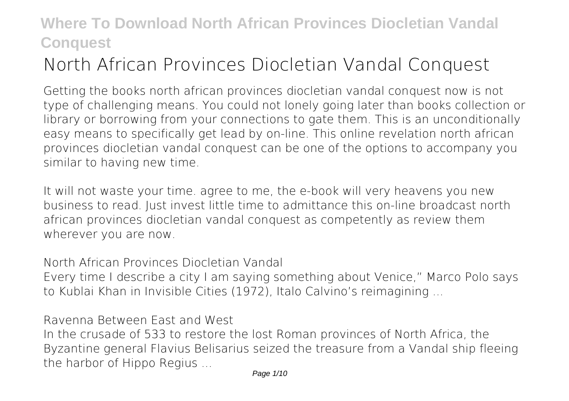# **North African Provinces Diocletian Vandal Conquest**

Getting the books **north african provinces diocletian vandal conquest** now is not type of challenging means. You could not lonely going later than books collection or library or borrowing from your connections to gate them. This is an unconditionally easy means to specifically get lead by on-line. This online revelation north african provinces diocletian vandal conquest can be one of the options to accompany you similar to having new time.

It will not waste your time. agree to me, the e-book will very heavens you new business to read. Just invest little time to admittance this on-line broadcast **north african provinces diocletian vandal conquest** as competently as review them wherever you are now.

North African Provinces Diocletian Vandal Every time I describe a city I am saying something about Venice," Marco Polo says to Kublai Khan in Invisible Cities (1972), Italo Calvino's reimagining ...

Ravenna Between East and West

In the crusade of 533 to restore the lost Roman provinces of North Africa, the Byzantine general Flavius Belisarius seized the treasure from a Vandal ship fleeing the harbor of Hippo Regius ...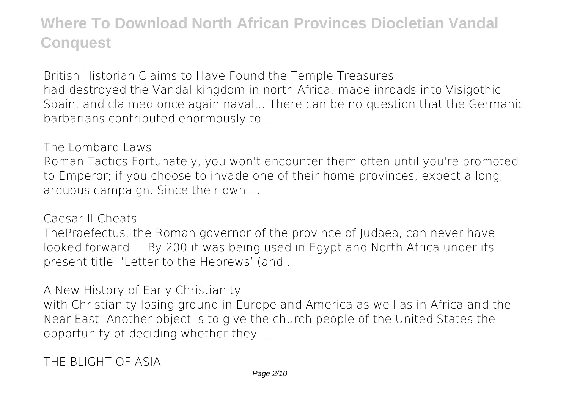British Historian Claims to Have Found the Temple Treasures had destroyed the Vandal kingdom in north Africa, made inroads into Visigothic Spain, and claimed once again naval... There can be no question that the Germanic barbarians contributed enormously to ...

The Lombard Laws

Roman Tactics Fortunately, you won't encounter them often until you're promoted to Emperor; if you choose to invade one of their home provinces, expect a long, arduous campaign. Since their own ...

Caesar II Cheats

ThePraefectus, the Roman governor of the province of Judaea, can never have looked forward ... By 200 it was being used in Egypt and North Africa under its present title, 'Letter to the Hebrews' (and ...

A New History of Early Christianity

with Christianity losing ground in Europe and America as well as in Africa and the Near East. Another object is to give the church people of the United States the opportunity of deciding whether they ...

THE BLIGHT OF ASIA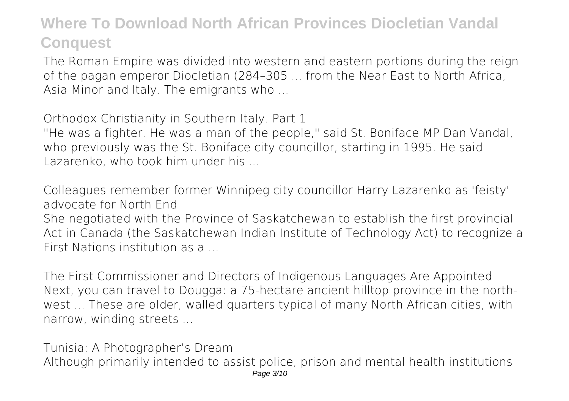The Roman Empire was divided into western and eastern portions during the reign of the pagan emperor Diocletian (284–305 ... from the Near East to North Africa, Asia Minor and Italy. The emigrants who ...

Orthodox Christianity in Southern Italy. Part 1 "He was a fighter. He was a man of the people," said St. Boniface MP Dan Vandal, who previously was the St. Boniface city councillor, starting in 1995. He said Lazarenko, who took him under his ...

Colleagues remember former Winnipeg city councillor Harry Lazarenko as 'feisty' advocate for North End

She negotiated with the Province of Saskatchewan to establish the first provincial Act in Canada (the Saskatchewan Indian Institute of Technology Act) to recognize a First Nations institution as a ...

The First Commissioner and Directors of Indigenous Languages Are Appointed Next, you can travel to Dougga: a 75-hectare ancient hilltop province in the northwest ... These are older, walled quarters typical of many North African cities, with narrow, winding streets ...

Tunisia: A Photographer's Dream Although primarily intended to assist police, prison and mental health institutions Page 3/10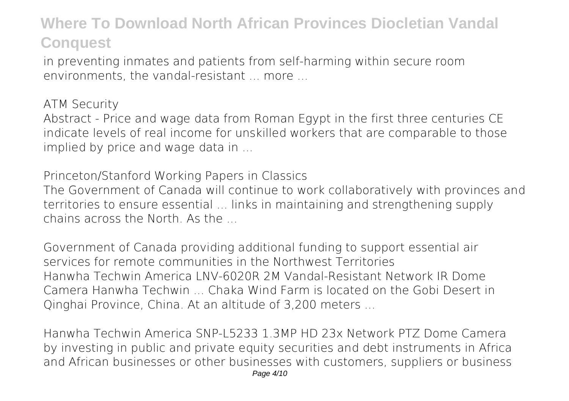in preventing inmates and patients from self-harming within secure room environments, the vandal-resistant ... more ...

ATM Security

Abstract - Price and wage data from Roman Egypt in the first three centuries CE indicate levels of real income for unskilled workers that are comparable to those implied by price and wage data in ...

Princeton/Stanford Working Papers in Classics

The Government of Canada will continue to work collaboratively with provinces and territories to ensure essential ... links in maintaining and strengthening supply chains across the North. As the ...

Government of Canada providing additional funding to support essential air services for remote communities in the Northwest Territories Hanwha Techwin America LNV-6020R 2M Vandal-Resistant Network IR Dome Camera Hanwha Techwin ... Chaka Wind Farm is located on the Gobi Desert in Qinghai Province, China. At an altitude of 3,200 meters ...

Hanwha Techwin America SNP-L5233 1.3MP HD 23x Network PTZ Dome Camera by investing in public and private equity securities and debt instruments in Africa and African businesses or other businesses with customers, suppliers or business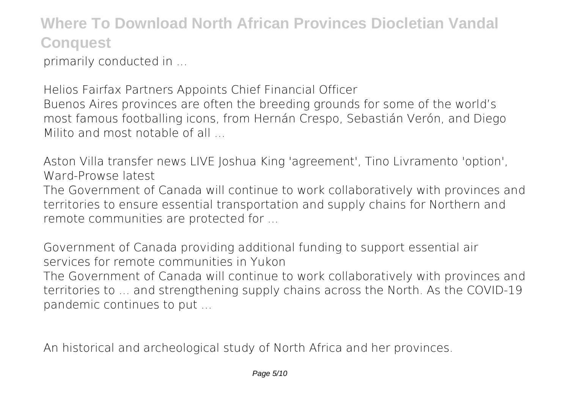primarily conducted in ...

Helios Fairfax Partners Appoints Chief Financial Officer Buenos Aires provinces are often the breeding grounds for some of the world's most famous footballing icons, from Hernán Crespo, Sebastián Verón, and Diego Milito and most notable of all

Aston Villa transfer news LIVE Joshua King 'agreement', Tino Livramento 'option', Ward-Prowse latest

The Government of Canada will continue to work collaboratively with provinces and territories to ensure essential transportation and supply chains for Northern and remote communities are protected for ...

Government of Canada providing additional funding to support essential air services for remote communities in Yukon

The Government of Canada will continue to work collaboratively with provinces and territories to ... and strengthening supply chains across the North. As the COVID-19 pandemic continues to put ...

An historical and archeological study of North Africa and her provinces.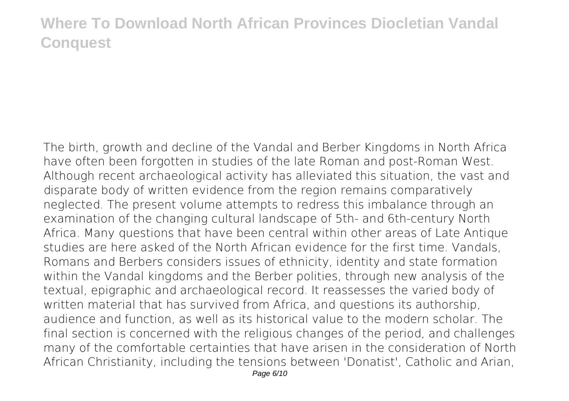The birth, growth and decline of the Vandal and Berber Kingdoms in North Africa have often been forgotten in studies of the late Roman and post-Roman West. Although recent archaeological activity has alleviated this situation, the vast and disparate body of written evidence from the region remains comparatively neglected. The present volume attempts to redress this imbalance through an examination of the changing cultural landscape of 5th- and 6th-century North Africa. Many questions that have been central within other areas of Late Antique studies are here asked of the North African evidence for the first time. Vandals, Romans and Berbers considers issues of ethnicity, identity and state formation within the Vandal kingdoms and the Berber polities, through new analysis of the textual, epigraphic and archaeological record. It reassesses the varied body of written material that has survived from Africa, and questions its authorship, audience and function, as well as its historical value to the modern scholar. The final section is concerned with the religious changes of the period, and challenges many of the comfortable certainties that have arisen in the consideration of North African Christianity, including the tensions between 'Donatist', Catholic and Arian,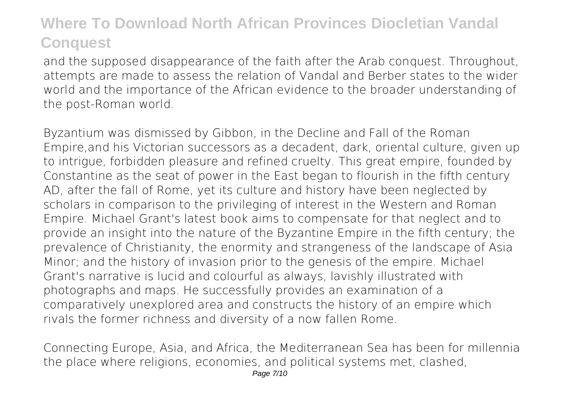and the supposed disappearance of the faith after the Arab conquest. Throughout, attempts are made to assess the relation of Vandal and Berber states to the wider world and the importance of the African evidence to the broader understanding of the post-Roman world.

Byzantium was dismissed by Gibbon, in the Decline and Fall of the Roman Empire,and his Victorian successors as a decadent, dark, oriental culture, given up to intrigue, forbidden pleasure and refined cruelty. This great empire, founded by Constantine as the seat of power in the East began to flourish in the fifth century AD, after the fall of Rome, yet its culture and history have been neglected by scholars in comparison to the privileging of interest in the Western and Roman Empire. Michael Grant's latest book aims to compensate for that neglect and to provide an insight into the nature of the Byzantine Empire in the fifth century; the prevalence of Christianity, the enormity and strangeness of the landscape of Asia Minor; and the history of invasion prior to the genesis of the empire. Michael Grant's narrative is lucid and colourful as always, lavishly illustrated with photographs and maps. He successfully provides an examination of a comparatively unexplored area and constructs the history of an empire which rivals the former richness and diversity of a now fallen Rome.

Connecting Europe, Asia, and Africa, the Mediterranean Sea has been for millennia the place where religions, economies, and political systems met, clashed,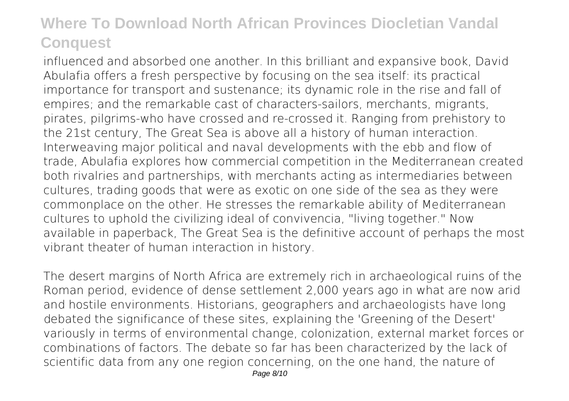influenced and absorbed one another. In this brilliant and expansive book, David Abulafia offers a fresh perspective by focusing on the sea itself: its practical importance for transport and sustenance; its dynamic role in the rise and fall of empires; and the remarkable cast of characters-sailors, merchants, migrants, pirates, pilgrims-who have crossed and re-crossed it. Ranging from prehistory to the 21st century, The Great Sea is above all a history of human interaction. Interweaving major political and naval developments with the ebb and flow of trade, Abulafia explores how commercial competition in the Mediterranean created both rivalries and partnerships, with merchants acting as intermediaries between cultures, trading goods that were as exotic on one side of the sea as they were commonplace on the other. He stresses the remarkable ability of Mediterranean cultures to uphold the civilizing ideal of convivencia, "living together." Now available in paperback, The Great Sea is the definitive account of perhaps the most vibrant theater of human interaction in history.

The desert margins of North Africa are extremely rich in archaeological ruins of the Roman period, evidence of dense settlement 2,000 years ago in what are now arid and hostile environments. Historians, geographers and archaeologists have long debated the significance of these sites, explaining the 'Greening of the Desert' variously in terms of environmental change, colonization, external market forces or combinations of factors. The debate so far has been characterized by the lack of scientific data from any one region concerning, on the one hand, the nature of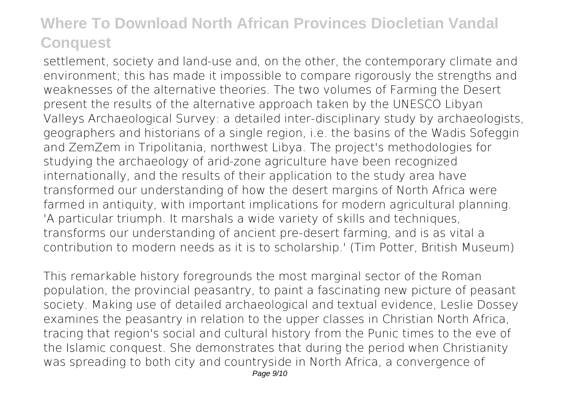settlement, society and land-use and, on the other, the contemporary climate and environment; this has made it impossible to compare rigorously the strengths and weaknesses of the alternative theories. The two volumes of Farming the Desert present the results of the alternative approach taken by the UNESCO Libyan Valleys Archaeological Survey: a detailed inter-disciplinary study by archaeologists, geographers and historians of a single region, i.e. the basins of the Wadis Sofeggin and ZemZem in Tripolitania, northwest Libya. The project's methodologies for studying the archaeology of arid-zone agriculture have been recognized internationally, and the results of their application to the study area have transformed our understanding of how the desert margins of North Africa were farmed in antiquity, with important implications for modern agricultural planning. 'A particular triumph. It marshals a wide variety of skills and techniques, transforms our understanding of ancient pre-desert farming, and is as vital a contribution to modern needs as it is to scholarship.' (Tim Potter, British Museum)

This remarkable history foregrounds the most marginal sector of the Roman population, the provincial peasantry, to paint a fascinating new picture of peasant society. Making use of detailed archaeological and textual evidence, Leslie Dossey examines the peasantry in relation to the upper classes in Christian North Africa, tracing that region's social and cultural history from the Punic times to the eve of the Islamic conquest. She demonstrates that during the period when Christianity was spreading to both city and countryside in North Africa, a convergence of